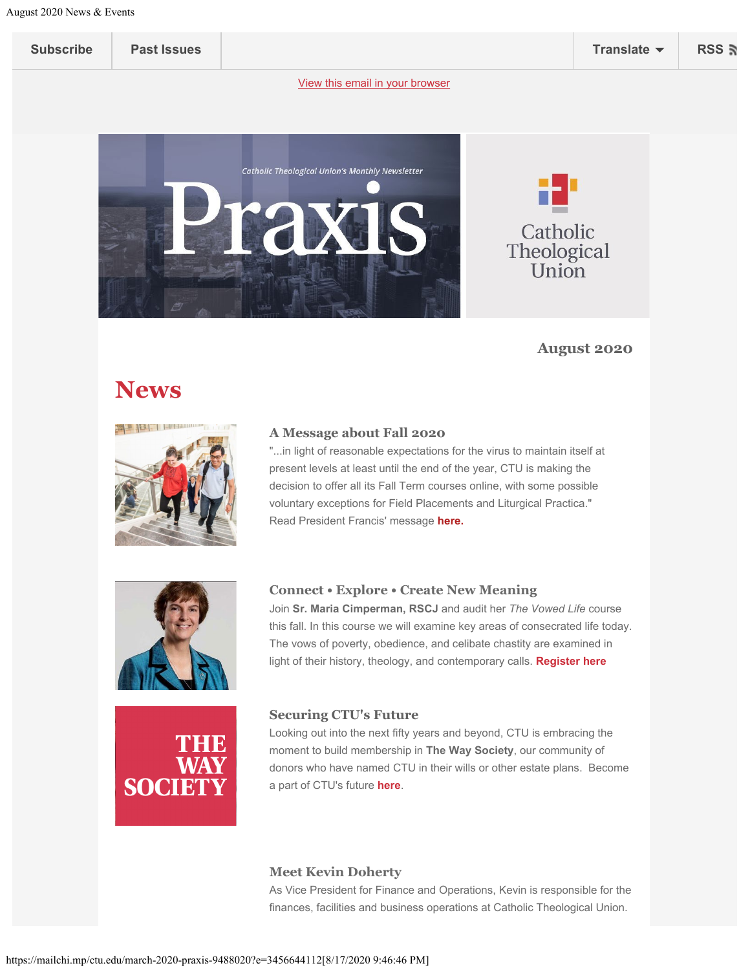<span id="page-0-0"></span>

| <b>Subscribe</b> | <b>Past Issues</b> |  | Translate | <b>RSS</b> |
|------------------|--------------------|--|-----------|------------|
|------------------|--------------------|--|-----------|------------|



# Catholic Theological **Union**

## **August 2020**

# **News**



### **A Message about Fall 2020**

"...in light of reasonable expectations for the virus to maintain itself at present levels at least until the end of the year, CTU is making the decision to offer all its Fall Term courses online, with some possible voluntary exceptions for Field Placements and Liturgical Practica." Read President Francis' message **[here.](https://1mkaop1htl6m2its812mogf3-wpengine.netdna-ssl.com/wp-content/uploads/2019/12/Fall-Semester-2020.pdf)**



### **Connect • Explore • Create New Meaning**

Join **Sr. Maria Cimperman, RSCJ** and audit her *The Vowed Life* course this fall. In this course we will examine key areas of consecrated life today. The vows of poverty, obedience, and celibate chastity are examined in light of their history, theology, and contemporary calls. **[Register here](http://ctu.edu/academics/expanded-classroom-fall-2020/)**



### **Securing CTU's Future**

Looking out into the next fifty years and beyond, CTU is embracing the moment to build membership in **The Way Society**, our community of donors who have named CTU in their wills or other estate plans. Become a part of CTU's future **[here](https://ctu.edu/forwardinfaith/waysociety/)**.

#### **Meet Kevin Doherty**

As Vice President for Finance and Operations, Kevin is responsible for the finances, facilities and business operations at Catholic Theological Union.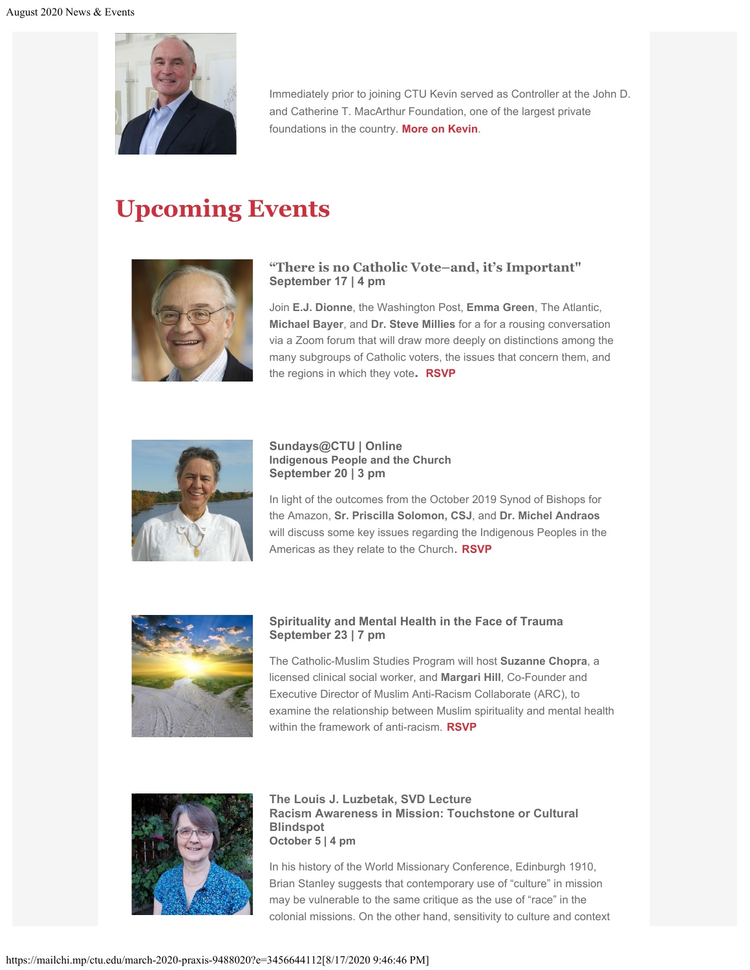

Immediately prior to joining CTU Kevin served as Controller at the John D. and Catherine T. MacArthur Foundation, one of the largest private foundations in the country. **[More on Kevin](https://ctu.edu/leadership/)**.

# **Upcoming Events**



### **"There is no Catholic Vote–and, it's Important" September 17 | 4 pm**

Join **E.J. Dionne**, the Washington Post, **Emma Green**, The Atlantic, **Michael Bayer**, and **Dr. Steve Millies** for a for a rousing conversation via a Zoom forum that will draw more deeply on distinctions among the many subgroups of Catholic voters, the issues that concern them, and the regions in which they vote**. [RSVP](https://ctu.edu/event/election-2020-there-is-no-catholic-vote-and-its-important/)**



**Sundays@CTU | Online Indigenous People and the Church September 20 | 3 pm**

In light of the outcomes from the October 2019 Synod of Bishops for the Amazon, **Sr. Priscilla Solomon, CSJ**, and **Dr. Michel Andraos** will discuss some key issues regarding the Indigenous Peoples in the Americas as they relate to the Church. **[RSVP](https://ctu.edu/event/online-sundays-at-ctu/)**



#### **Spirituality and Mental Health in the Face of Trauma September 23 | 7 pm**

The Catholic-Muslim Studies Program will host **Suzanne Chopra**, a licensed clinical social worker, and **Margari Hill**, Co-Founder and Executive Director of Muslim Anti-Racism Collaborate (ARC), to examine the relationship between Muslim spirituality and mental health within the framework of anti-racism. **[RSVP](https://ctu.edu/event/spirituality-and-mental-health-in-the-face-of-trauma/)**



**The Louis J. Luzbetak, SVD Lecture Racism Awareness in Mission: Touchstone or Cultural Blindspot October 5 | 4 pm**

In his history of the World Missionary Conference, Edinburgh 1910, Brian Stanley suggests that contemporary use of "culture" in mission may be vulnerable to the same critique as the use of "race" in the colonial missions. On the other hand, sensitivity to culture and context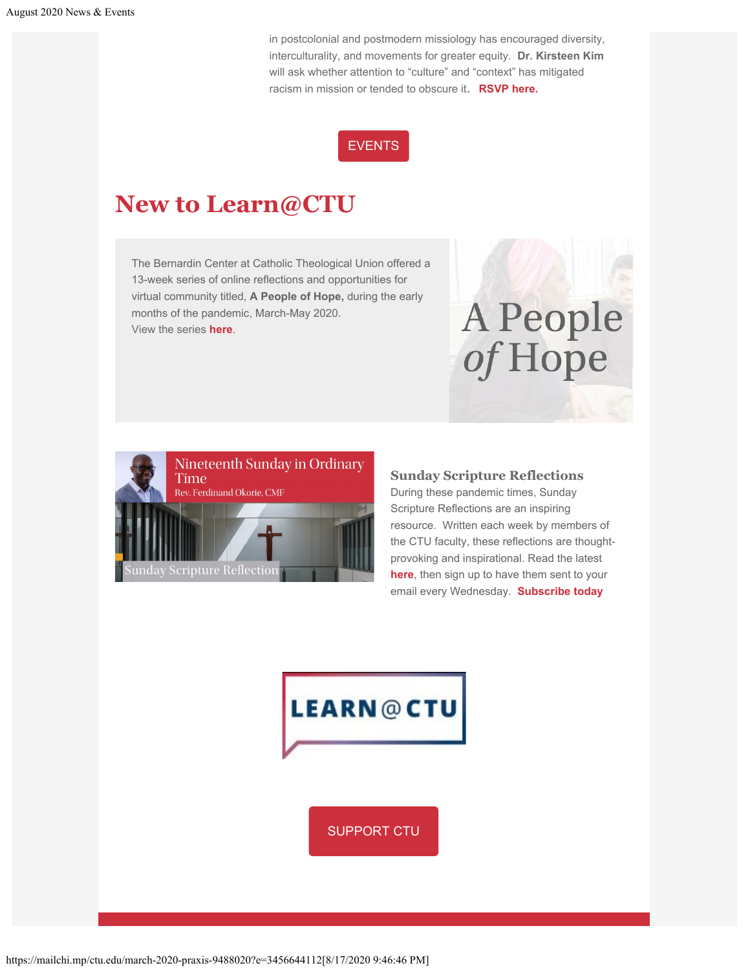in postcolonial and postmodern missiology has encouraged diversity, interculturality, and movements for greater equity. **Dr. Kirsteen Kim** will ask whether attention to "culture" and "context" has mitigated racism in mission or tended to obscure it. **[RSVP here.](https://ctu.edu/event/2020-luzbetak-lecture/)**

## [EVENTS](https://ctu.edu/events/)

## **New to Learn@CTU**

The Bernardin Center at Catholic Theological Union offered a 13-week series of online reflections and opportunities for virtual community titled, **A People of Hope,** during the early months of the pandemic, March-May 2020. View the series **[here](https://learn.ctu.edu/departments/bernardin-center/)**.



#### **Sunday Scripture Reflections**

During these pandemic times, Sunday Scripture Reflections are an inspiring resource. Written each week by members of the CTU faculty, these reflections are thoughtprovoking and inspirational. Read the latest **[here](https://learn.ctu.edu/nineteenth-sunday-in-ordinary-time-2/)**, then sign up to have them sent to your email every Wednesday. **[Subscribe today](https://learn.ctu.edu/subscribe/)**

A People

of Hope



https://mailchi.mp/ctu.edu/march-2020-praxis-9488020?e=3456644112[8/17/2020 9:46:46 PM]